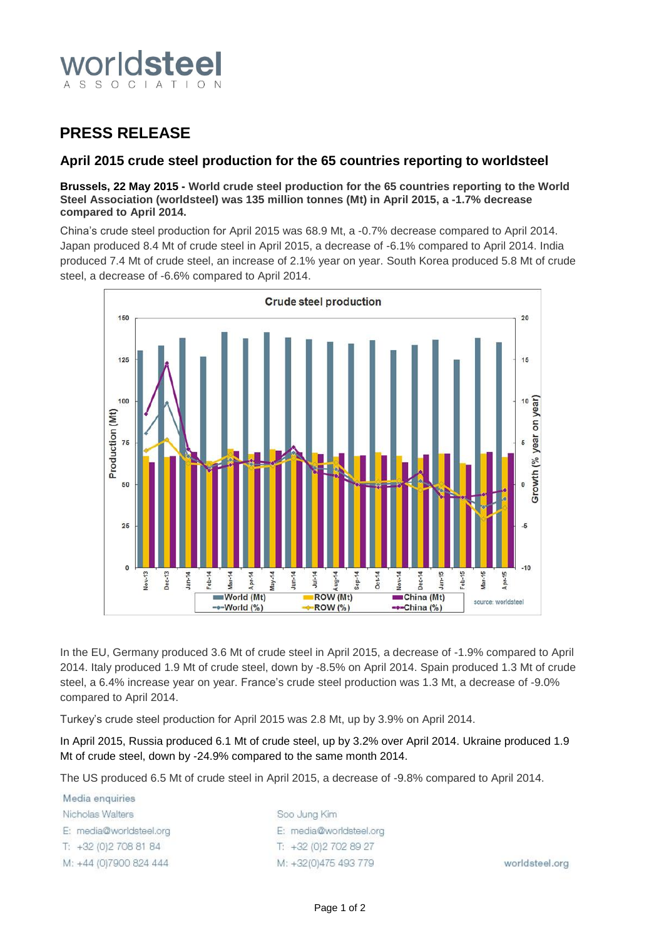

## **PRESS RELEASE**

### **April 2015 crude steel production for the 65 countries reporting to worldsteel**

### **Brussels, 22 May 2015 - World crude steel production for the 65 countries reporting to the World Steel Association (worldsteel) was 135 million tonnes (Mt) in April 2015, a -1.7% decrease compared to April 2014.**

China's crude steel production for April 2015 was 68.9 Mt, a -0.7% decrease compared to April 2014. Japan produced 8.4 Mt of crude steel in April 2015, a decrease of -6.1% compared to April 2014. India produced 7.4 Mt of crude steel, an increase of 2.1% year on year. South Korea produced 5.8 Mt of crude steel, a decrease of -6.6% compared to April 2014.



In the EU, Germany produced 3.6 Mt of crude steel in April 2015, a decrease of -1.9% compared to April 2014. Italy produced 1.9 Mt of crude steel, down by -8.5% on April 2014. Spain produced 1.3 Mt of crude steel, a 6.4% increase year on year. France's crude steel production was 1.3 Mt, a decrease of -9.0% compared to April 2014.

Turkey's crude steel production for April 2015 was 2.8 Mt, up by 3.9% on April 2014.

In April 2015, Russia produced 6.1 Mt of crude steel, up by 3.2% over April 2014. Ukraine produced 1.9 Mt of crude steel, down by -24.9% compared to the same month 2014.

The US produced 6.5 Mt of crude steel in April 2015, a decrease of -9.8% compared to April 2014.

Media enquiries Nicholas Walters E: media@worldsteel.org T: +32 (0) 2 708 81 84 M: +44 (0)7900 824 444

Soo Jung Kim E: media@worldsteel.org T: +32 (0) 2 70 2 89 27 M: +32(0)475 493 779

worldsteel.org